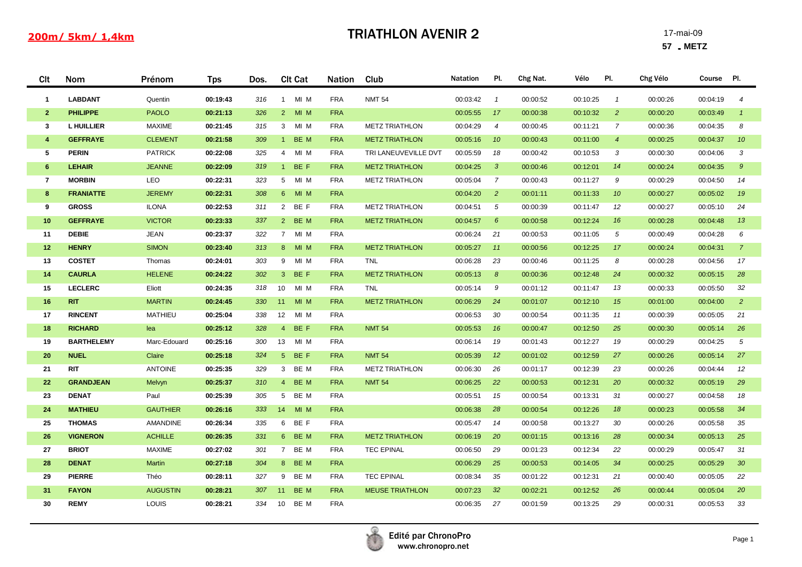## 200m/ 5km/ 1,4km

## **TRIATHLON AVENIR 2** 17-mai-09

**57** - **METZ**

| Clt                     | <b>Nom</b>        | Prénom          | <b>Tps</b> | Dos. | <b>Clt Cat</b>          | <b>Nation</b> | Club                   | <b>Natation</b> | PI.             | Chg Nat. | Vélo     | PI.             | Chg Vélo | Course Pl. |                 |
|-------------------------|-------------------|-----------------|------------|------|-------------------------|---------------|------------------------|-----------------|-----------------|----------|----------|-----------------|----------|------------|-----------------|
| $\mathbf{1}$            | <b>LABDANT</b>    | Quentin         | 00:19:43   | 316  | MI M<br>1               | <b>FRA</b>    | <b>NMT 54</b>          | 00:03:42        | $\overline{1}$  | 00:00:52 | 00:10:25 | $\mathbf{1}$    | 00:00:26 | 00:04:19   | $\overline{4}$  |
| $\mathbf{2}$            | <b>PHILIPPE</b>   | <b>PAOLO</b>    | 00:21:13   | 326  | $2^{\circ}$<br>MI M     | <b>FRA</b>    |                        | 00:05:55        | 17              | 00:00:38 | 00:10:32 | $\overline{2}$  | 00:00:20 | 00:03:49   | $\overline{1}$  |
| $\mathbf{3}$            | <b>L HUILLIER</b> | <b>MAXIME</b>   | 00:21:45   | 315  | MI M<br>3 <sup>7</sup>  | <b>FRA</b>    | <b>METZ TRIATHLON</b>  | 00:04:29        | $\overline{4}$  | 00:00:45 | 00:11:21 | $\overline{7}$  | 00:00:36 | 00:04:35   | 8               |
| $\overline{\mathbf{4}}$ | <b>GEFFRAYE</b>   | <b>CLEMENT</b>  | 00:21:58   | 309  | BE M<br>$1 -$           | <b>FRA</b>    | <b>METZ TRIATHLON</b>  | 00:05:16        | 10              | 00:00:43 | 00:11:00 | $\overline{4}$  | 00:00:25 | 00:04:37   | 10              |
| 5                       | <b>PERIN</b>      | <b>PATRICK</b>  | 00:22:08   | 325  | MI M<br>$\overline{4}$  | <b>FRA</b>    | TRI LANEUVEVILLE DVT   | 00:05:59        | 18              | 00:00:42 | 00:10:53 | 3               | 00:00:30 | 00:04:06   | 3               |
| 6                       | <b>LEHAIR</b>     | <b>JEANNE</b>   | 00:22:09   | 319  | BE F<br>1               | <b>FRA</b>    | <b>METZ TRIATHLON</b>  | 00:04:25        | $\mathbf{3}$    | 00:00:46 | 00:12:01 | 14              | 00:00:24 | 00:04:35   | $\mathcal{G}$   |
| $\overline{7}$          | <b>MORBIN</b>     | <b>LEO</b>      | 00:22:31   | 323  | 5 MI M                  | <b>FRA</b>    | <b>METZ TRIATHLON</b>  | 00:05:04        | $\overline{7}$  | 00:00:43 | 00:11:27 | 9               | 00:00:29 | 00:04:50   | 14              |
| 8                       | <b>FRANIATTE</b>  | <b>JEREMY</b>   | 00:22:31   | 308  | MI M<br>$6 -$           | <b>FRA</b>    |                        | 00:04:20        | $\overline{2}$  | 00:01:11 | 00:11:33 | 10 <sup>°</sup> | 00:00:27 | 00:05:02   | 19              |
| 9                       | <b>GROSS</b>      | <b>ILONA</b>    | 00:22:53   | 311  | 2 BE F                  | <b>FRA</b>    | <b>METZ TRIATHLON</b>  | 00:04:51        | $\sqrt{5}$      | 00:00:39 | 00:11:47 | 12              | 00:00:27 | 00:05:10   | 24              |
| 10                      | <b>GEFFRAYE</b>   | <b>VICTOR</b>   | 00:23:33   | 337  | 2 BE M                  | <b>FRA</b>    | <b>METZ TRIATHLON</b>  | 00:04:57        | 6               | 00:00:58 | 00:12:24 | 16              | 00:00:28 | 00:04:48   | 13              |
| 11                      | <b>DEBIE</b>      | <b>JEAN</b>     | 00:23:37   | 322  | 7 MI M                  | <b>FRA</b>    |                        | 00:06:24        | 21              | 00:00:53 | 00:11:05 | 5               | 00:00:49 | 00:04:28   | 6               |
| 12                      | <b>HENRY</b>      | <b>SIMON</b>    | 00:23:40   | 313  | MI M<br>8 <sup>1</sup>  | <b>FRA</b>    | <b>METZ TRIATHLON</b>  | 00:05:27        | 11              | 00:00:56 | 00:12:25 | 17              | 00:00:24 | 00:04:31   | $\overline{7}$  |
| 13                      | <b>COSTET</b>     | Thomas          | 00:24:01   | 303  | MI M<br>9               | <b>FRA</b>    | <b>TNL</b>             | 00:06:28        | 23              | 00:00:46 | 00:11:25 | 8               | 00:00:28 | 00:04:56   | 17              |
| 14                      | <b>CAURLA</b>     | <b>HELENE</b>   | 00:24:22   | 302  | 3 BE F                  | <b>FRA</b>    | <b>METZ TRIATHLON</b>  | 00:05:13        | 8               | 00:00:36 | 00:12:48 | 24              | 00:00:32 | 00:05:15   | 28              |
| 15                      | <b>LECLERC</b>    | Eliott          | 00:24:35   | 318  | MI M<br>10 <sup>°</sup> | <b>FRA</b>    | <b>TNL</b>             | 00:05:14        | - 9             | 00:01:12 | 00:11:47 | 13              | 00:00:33 | 00:05:50   | 32              |
| 16                      | <b>RIT</b>        | <b>MARTIN</b>   | 00:24:45   | 330  | MI M<br>11              | <b>FRA</b>    | <b>METZ TRIATHLON</b>  | 00:06:29        | 24              | 00:01:07 | 00:12:10 | 15              | 00:01:00 | 00:04:00   | $\overline{2}$  |
| 17                      | <b>RINCENT</b>    | <b>MATHIEU</b>  | 00:25:04   | 338  | 12<br>MI M              | <b>FRA</b>    |                        | 00:06:53        | 30              | 00:00:54 | 00:11:35 | 11              | 00:00:39 | 00:05:05   | 21              |
| 18                      | <b>RICHARD</b>    | lea             | 00:25:12   | 328  | 4 BE F                  | <b>FRA</b>    | <b>NMT 54</b>          | 00:05:53        | 16              | 00:00:47 | 00:12:50 | 25              | 00:00:30 | 00:05:14   | 26              |
| 19                      | <b>BARTHELEMY</b> | Marc-Edouard    | 00:25:16   | 300  | MI M<br>13              | <b>FRA</b>    |                        | 00:06:14        | 19              | 00:01:43 | 00:12:27 | 19              | 00:00:29 | 00:04:25   | 5               |
| 20                      | <b>NUEL</b>       | Claire          | 00:25:18   | 324  | 5 BEF                   | <b>FRA</b>    | <b>NMT 54</b>          | 00:05:39        | 12              | 00:01:02 | 00:12:59 | 27              | 00:00:26 | 00:05:14   | 27              |
| 21                      | <b>RIT</b>        | <b>ANTOINE</b>  | 00:25:35   | 329  | 3 BE M                  | <b>FRA</b>    | <b>METZ TRIATHLON</b>  | 00:06:30        | 26              | 00:01:17 | 00:12:39 | 23              | 00:00:26 | 00:04:44   | 12              |
| 22                      | <b>GRANDJEAN</b>  | Melvyn          | 00:25:37   | 310  | 4 BE M                  | <b>FRA</b>    | <b>NMT 54</b>          | 00:06:25        | 22              | 00:00:53 | 00:12:31 | 20              | 00:00:32 | 00:05:19   | 29              |
| 23                      | <b>DENAT</b>      | Paul            | 00:25:39   | 305  | 5 BE M                  | <b>FRA</b>    |                        | 00:05:51        | 15              | 00:00:54 | 00:13:31 | 31              | 00:00:27 | 00:04:58   | 18              |
| 24                      | <b>MATHIEU</b>    | <b>GAUTHIER</b> | 00:26:16   | 333  | MI <sub>M</sub><br>14   | <b>FRA</b>    |                        | 00:06:38        | 28              | 00:00:54 | 00:12:26 | 18              | 00:00:23 | 00:05:58   | 34              |
| 25                      | <b>THOMAS</b>     | <b>AMANDINE</b> | 00:26:34   | 335  | 6 BEF                   | <b>FRA</b>    |                        | 00:05:47        | 14              | 00:00:58 | 00:13:27 | 30              | 00:00:26 | 00:05:58   | 35              |
| 26                      | <b>VIGNERON</b>   | <b>ACHILLE</b>  | 00:26:35   | 331  | 6 BE M                  | <b>FRA</b>    | <b>METZ TRIATHLON</b>  | 00:06:19        | 20              | 00:01:15 | 00:13:16 | 28              | 00:00:34 | 00:05:13   | 25              |
| 27                      | <b>BRIOT</b>      | <b>MAXIME</b>   | 00:27:02   | 301  | 7 BE M                  | <b>FRA</b>    | <b>TEC EPINAL</b>      | 00:06:50        | 29              | 00:01:23 | 00:12:34 | 22              | 00:00:29 | 00:05:47   | 31              |
| 28                      | <b>DENAT</b>      | <b>Martin</b>   | 00:27:18   | 304  | 8 BE M                  | <b>FRA</b>    |                        | 00:06:29        | 25              | 00:00:53 | 00:14:05 | 34              | 00:00:25 | 00:05:29   | 30 <sup>°</sup> |
| 29                      | <b>PIERRE</b>     | Théo            | 00:28:11   | 327  | 9 BE M                  | <b>FRA</b>    | <b>TEC EPINAL</b>      | 00:08:34        | 35              | 00:01:22 | 00:12:31 | 21              | 00:00:40 | 00:05:05   | 22              |
| 31                      | <b>FAYON</b>      | <b>AUGUSTIN</b> | 00:28:21   | 307  | BE M<br>11              | <b>FRA</b>    | <b>MEUSE TRIATHLON</b> | 00:07:23        | 32 <sup>2</sup> | 00:02:21 | 00:12:52 | 26              | 00:00:44 | 00:05:04   | 20              |
| 30                      | <b>REMY</b>       | <b>LOUIS</b>    | 00:28:21   | 334  | 10 BE M                 | <b>FRA</b>    |                        | 00:06:35        | 27              | 00:01:59 | 00:13:25 | 29              | 00:00:31 | 00:05:53   | 33              |